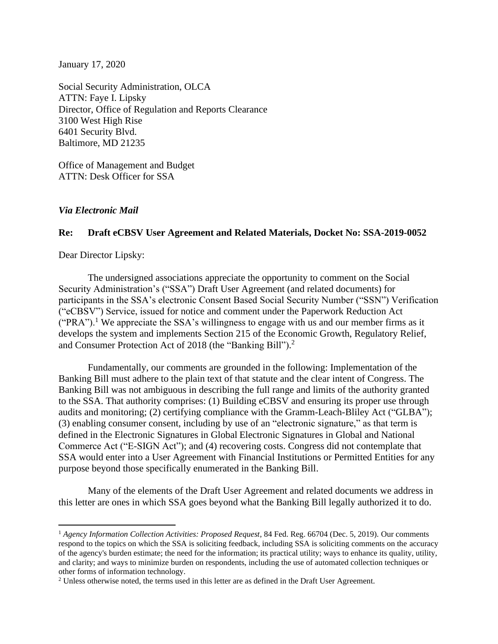January 17, 2020

Social Security Administration, OLCA ATTN: Faye I. Lipsky Director, Office of Regulation and Reports Clearance 3100 West High Rise 6401 Security Blvd. Baltimore, MD 21235

Office of Management and Budget ATTN: Desk Officer for SSA

*Via Electronic Mail*

## **Re: Draft eCBSV User Agreement and Related Materials, Docket No: SSA-2019-0052**

Dear Director Lipsky:

The undersigned associations appreciate the opportunity to comment on the Social Security Administration's ("SSA") Draft User Agreement (and related documents) for participants in the SSA's electronic Consent Based Social Security Number ("SSN") Verification ("eCBSV") Service, issued for notice and comment under the Paperwork Reduction Act  $("PRA")$ <sup>1</sup>. We appreciate the SSA's willingness to engage with us and our member firms as it develops the system and implements Section 215 of the Economic Growth, Regulatory Relief, and Consumer Protection Act of 2018 (the "Banking Bill"). 2

Fundamentally, our comments are grounded in the following: Implementation of the Banking Bill must adhere to the plain text of that statute and the clear intent of Congress. The Banking Bill was not ambiguous in describing the full range and limits of the authority granted to the SSA. That authority comprises: (1) Building eCBSV and ensuring its proper use through audits and monitoring; (2) certifying compliance with the Gramm-Leach-Bliley Act ("GLBA"); (3) enabling consumer consent, including by use of an "electronic signature," as that term is defined in the Electronic Signatures in Global Electronic Signatures in Global and National Commerce Act ("E-SIGN Act"); and (4) recovering costs. Congress did not contemplate that SSA would enter into a User Agreement with Financial Institutions or Permitted Entities for any purpose beyond those specifically enumerated in the Banking Bill.

Many of the elements of the Draft User Agreement and related documents we address in this letter are ones in which SSA goes beyond what the Banking Bill legally authorized it to do.

<sup>&</sup>lt;sup>1</sup> Agency Information Collection Activities: Proposed Request, 84 Fed. Reg. 66704 (Dec. 5, 2019). Our comments respond to the topics on which the SSA is soliciting feedback, including SSA is soliciting comments on the accuracy of the agency's burden estimate; the need for the information; its practical utility; ways to enhance its quality, utility, and clarity; and ways to minimize burden on respondents, including the use of automated collection techniques or other forms of information technology.

<sup>2</sup> Unless otherwise noted, the terms used in this letter are as defined in the Draft User Agreement.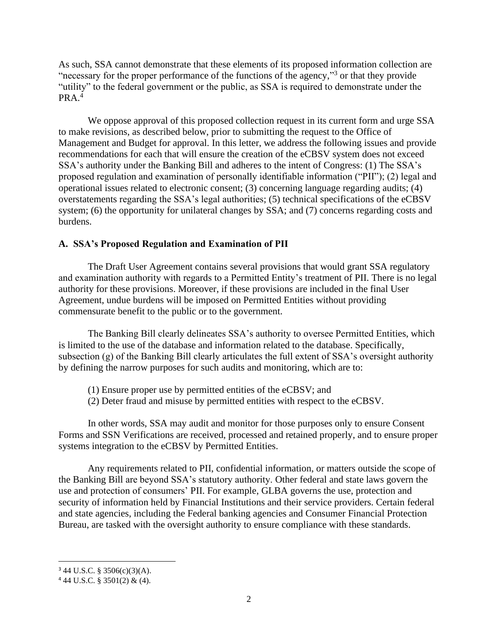As such, SSA cannot demonstrate that these elements of its proposed information collection are "necessary for the proper performance of the functions of the agency,"<sup>3</sup> or that they provide "utility" to the federal government or the public, as SSA is required to demonstrate under the  $PRA<sup>4</sup>$ 

We oppose approval of this proposed collection request in its current form and urge SSA to make revisions, as described below, prior to submitting the request to the Office of Management and Budget for approval. In this letter, we address the following issues and provide recommendations for each that will ensure the creation of the eCBSV system does not exceed SSA's authority under the Banking Bill and adheres to the intent of Congress: (1) The SSA's proposed regulation and examination of personally identifiable information ("PII"); (2) legal and operational issues related to electronic consent; (3) concerning language regarding audits; (4) overstatements regarding the SSA's legal authorities; (5) technical specifications of the eCBSV system; (6) the opportunity for unilateral changes by SSA; and (7) concerns regarding costs and burdens.

### **A. SSA's Proposed Regulation and Examination of PII**

The Draft User Agreement contains several provisions that would grant SSA regulatory and examination authority with regards to a Permitted Entity's treatment of PII. There is no legal authority for these provisions. Moreover, if these provisions are included in the final User Agreement, undue burdens will be imposed on Permitted Entities without providing commensurate benefit to the public or to the government.

The Banking Bill clearly delineates SSA's authority to oversee Permitted Entities, which is limited to the use of the database and information related to the database. Specifically, subsection (g) of the Banking Bill clearly articulates the full extent of SSA's oversight authority by defining the narrow purposes for such audits and monitoring, which are to:

- (1) Ensure proper use by permitted entities of the eCBSV; and
- (2) Deter fraud and misuse by permitted entities with respect to the eCBSV.

In other words, SSA may audit and monitor for those purposes only to ensure Consent Forms and SSN Verifications are received, processed and retained properly, and to ensure proper systems integration to the eCBSV by Permitted Entities.

Any requirements related to PII, confidential information, or matters outside the scope of the Banking Bill are beyond SSA's statutory authority. Other federal and state laws govern the use and protection of consumers' PII. For example, GLBA governs the use, protection and security of information held by Financial Institutions and their service providers. Certain federal and state agencies, including the Federal banking agencies and Consumer Financial Protection Bureau, are tasked with the oversight authority to ensure compliance with these standards.

 $344$  U.S.C. § 3506(c)(3)(A).

<sup>4</sup> 44 U.S.C. § 3501(2) & (4).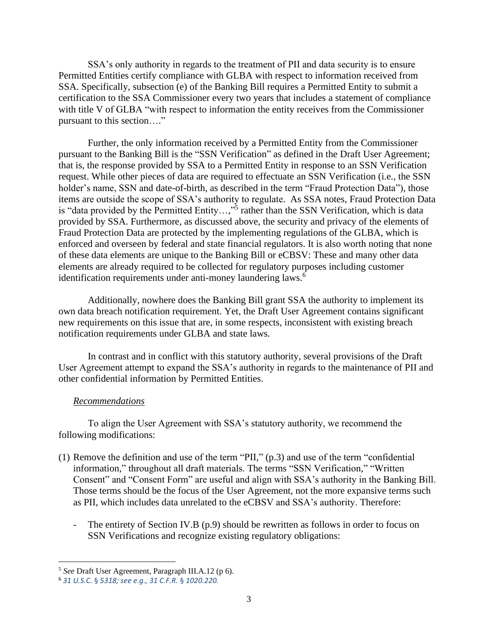SSA's only authority in regards to the treatment of PII and data security is to ensure Permitted Entities certify compliance with GLBA with respect to information received from SSA. Specifically, subsection (e) of the Banking Bill requires a Permitted Entity to submit a certification to the SSA Commissioner every two years that includes a statement of compliance with title V of GLBA "with respect to information the entity receives from the Commissioner pursuant to this section…."

Further, the only information received by a Permitted Entity from the Commissioner pursuant to the Banking Bill is the "SSN Verification" as defined in the Draft User Agreement; that is, the response provided by SSA to a Permitted Entity in response to an SSN Verification request. While other pieces of data are required to effectuate an SSN Verification (i.e., the SSN holder's name, SSN and date-of-birth, as described in the term "Fraud Protection Data"), those items are outside the scope of SSA's authority to regulate. As SSA notes, Fraud Protection Data is "data provided by the Permitted Entity...,"<sup>5</sup> rather than the SSN Verification, which is data provided by SSA. Furthermore, as discussed above, the security and privacy of the elements of Fraud Protection Data are protected by the implementing regulations of the GLBA, which is enforced and overseen by federal and state financial regulators. It is also worth noting that none of these data elements are unique to the Banking Bill or eCBSV: These and many other data elements are already required to be collected for regulatory purposes including customer identification requirements under anti-money laundering laws.<sup>6</sup>

Additionally, nowhere does the Banking Bill grant SSA the authority to implement its own data breach notification requirement. Yet, the Draft User Agreement contains significant new requirements on this issue that are, in some respects, inconsistent with existing breach notification requirements under GLBA and state laws.

In contrast and in conflict with this statutory authority, several provisions of the Draft User Agreement attempt to expand the SSA's authority in regards to the maintenance of PII and other confidential information by Permitted Entities.

### *Recommendations*

To align the User Agreement with SSA's statutory authority, we recommend the following modifications:

- (1) Remove the definition and use of the term "PII," (p.3) and use of the term "confidential information," throughout all draft materials. The terms "SSN Verification," "Written Consent" and "Consent Form" are useful and align with SSA's authority in the Banking Bill. Those terms should be the focus of the User Agreement, not the more expansive terms such as PII, which includes data unrelated to the eCBSV and SSA's authority. Therefore:
	- The entirety of Section IV.B (p.9) should be rewritten as follows in order to focus on SSN Verifications and recognize existing regulatory obligations:

<sup>5</sup> *See* Draft User Agreement, Paragraph III.A.12 (p 6).

<sup>6</sup> *31 U.S.C.* § *5318; see e.g., 31 C.F.R.* § *1020.220.*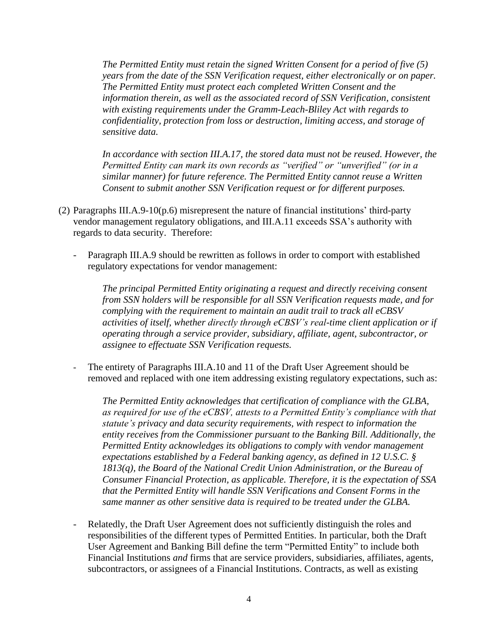*The Permitted Entity must retain the signed Written Consent for a period of five (5) years from the date of the SSN Verification request, either electronically or on paper. The Permitted Entity must protect each completed Written Consent and the information therein, as well as the associated record of SSN Verification, consistent with existing requirements under the Gramm-Leach-Bliley Act with regards to confidentiality, protection from loss or destruction, limiting access, and storage of sensitive data.*

*In accordance with section III.A.17, the stored data must not be reused. However, the Permitted Entity can mark its own records as "verified" or "unverified" (or in a similar manner) for future reference. The Permitted Entity cannot reuse a Written Consent to submit another SSN Verification request or for different purposes.*

- (2) Paragraphs III.A.9-10(p.6) misrepresent the nature of financial institutions' third-party vendor management regulatory obligations, and III.A.11 exceeds SSA's authority with regards to data security. Therefore:
	- Paragraph III.A.9 should be rewritten as follows in order to comport with established regulatory expectations for vendor management:

*The principal Permitted Entity originating a request and directly receiving consent from SSN holders will be responsible for all SSN Verification requests made, and for complying with the requirement to maintain an audit trail to track all eCBSV activities of itself, whether directly through eCBSV's real-time client application or if operating through a service provider, subsidiary, affiliate, agent, subcontractor, or assignee to effectuate SSN Verification requests.*

- The entirety of Paragraphs III.A.10 and 11 of the Draft User Agreement should be removed and replaced with one item addressing existing regulatory expectations, such as:

*The Permitted Entity acknowledges that certification of compliance with the GLBA, as required for use of the eCBSV, attests to a Permitted Entity's compliance with that statute's privacy and data security requirements, with respect to information the entity receives from the Commissioner pursuant to the Banking Bill. Additionally, the Permitted Entity acknowledges its obligations to comply with vendor management expectations established by a Federal banking agency, as defined in 12 U.S.C. §*  1813(q), the Board of the National Credit Union Administration, or the Bureau of *Consumer Financial Protection, as applicable. Therefore, it is the expectation of SSA that the Permitted Entity will handle SSN Verifications and Consent Forms in the same manner as other sensitive data is required to be treated under the GLBA.*

Relatedly, the Draft User Agreement does not sufficiently distinguish the roles and responsibilities of the different types of Permitted Entities. In particular, both the Draft User Agreement and Banking Bill define the term "Permitted Entity" to include both Financial Institutions *and* firms that are service providers, subsidiaries, affiliates, agents, subcontractors, or assignees of a Financial Institutions. Contracts, as well as existing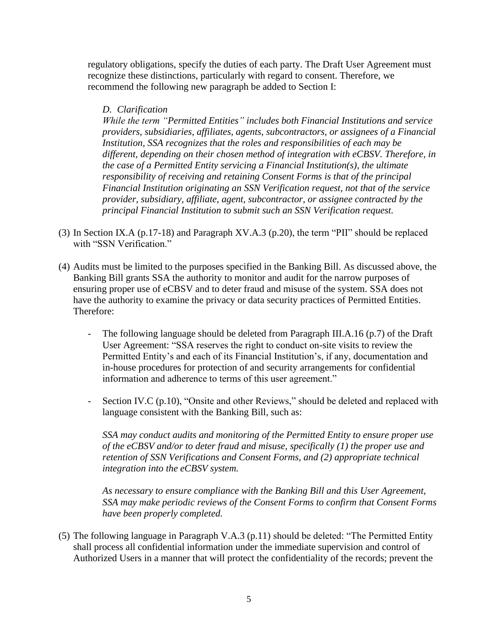regulatory obligations, specify the duties of each party. The Draft User Agreement must recognize these distinctions, particularly with regard to consent. Therefore, we recommend the following new paragraph be added to Section I:

## *D. Clarification*

*While the term "Permitted Entities" includes both Financial Institutions and service providers, subsidiaries, affiliates, agents, subcontractors, or assignees of a Financial Institution, SSA recognizes that the roles and responsibilities of each may be different, depending on their chosen method of integration with eCBSV. Therefore, in the case of a Permitted Entity servicing a Financial Institution(s), the ultimate responsibility of receiving and retaining Consent Forms is that of the principal Financial Institution originating an SSN Verification request, not that of the service provider, subsidiary, affiliate, agent, subcontractor, or assignee contracted by the principal Financial Institution to submit such an SSN Verification request.*

- (3) In Section IX.A (p.17-18) and Paragraph XV.A.3 (p.20), the term "PII" should be replaced with "SSN Verification."
- (4) Audits must be limited to the purposes specified in the Banking Bill. As discussed above, the Banking Bill grants SSA the authority to monitor and audit for the narrow purposes of ensuring proper use of eCBSV and to deter fraud and misuse of the system. SSA does not have the authority to examine the privacy or data security practices of Permitted Entities. Therefore:
	- The following language should be deleted from Paragraph III.A.16 (p.7) of the Draft User Agreement: "SSA reserves the right to conduct on-site visits to review the Permitted Entity's and each of its Financial Institution's, if any, documentation and in-house procedures for protection of and security arrangements for confidential information and adherence to terms of this user agreement."
	- Section IV.C (p.10), "Onsite and other Reviews," should be deleted and replaced with language consistent with the Banking Bill, such as:

*SSA may conduct audits and monitoring of the Permitted Entity to ensure proper use of the eCBSV and/or to deter fraud and misuse, specifically (1) the proper use and retention of SSN Verifications and Consent Forms, and (2) appropriate technical integration into the eCBSV system.*

*As necessary to ensure compliance with the Banking Bill and this User Agreement, SSA may make periodic reviews of the Consent Forms to confirm that Consent Forms have been properly completed.*

(5) The following language in Paragraph V.A.3 (p.11) should be deleted: "The Permitted Entity shall process all confidential information under the immediate supervision and control of Authorized Users in a manner that will protect the confidentiality of the records; prevent the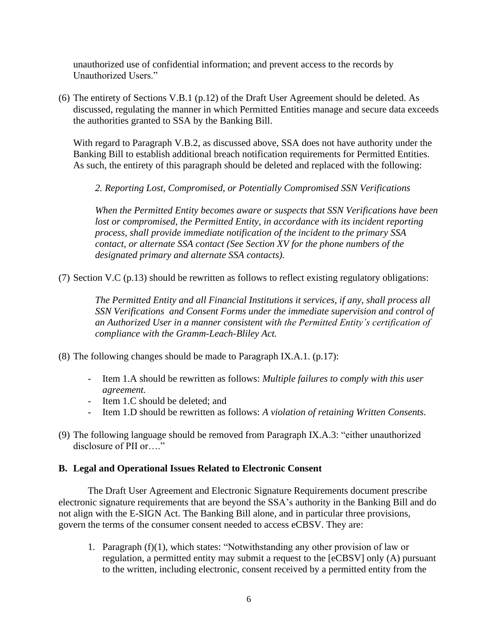unauthorized use of confidential information; and prevent access to the records by Unauthorized Users."

(6) The entirety of Sections V.B.1 (p.12) of the Draft User Agreement should be deleted. As discussed, regulating the manner in which Permitted Entities manage and secure data exceeds the authorities granted to SSA by the Banking Bill.

With regard to Paragraph V.B.2, as discussed above, SSA does not have authority under the Banking Bill to establish additional breach notification requirements for Permitted Entities. As such, the entirety of this paragraph should be deleted and replaced with the following:

*2. Reporting Lost, Compromised, or Potentially Compromised SSN Verifications*

*When the Permitted Entity becomes aware or suspects that SSN Verifications have been lost or compromised, the Permitted Entity, in accordance with its incident reporting process, shall provide immediate notification of the incident to the primary SSA contact, or alternate SSA contact (See Section XV for the phone numbers of the designated primary and alternate SSA contacts).*

(7) Section V.C (p.13) should be rewritten as follows to reflect existing regulatory obligations:

*The Permitted Entity and all Financial Institutions it services, if any, shall process all SSN Verifications and Consent Forms under the immediate supervision and control of an Authorized User in a manner consistent with the Permitted Entity's certification of compliance with the Gramm-Leach-Bliley Act.*

- (8) The following changes should be made to Paragraph IX.A.1. (p.17):
	- Item 1.A should be rewritten as follows: *Multiple failures to comply with this user agreement.*
	- Item 1.C should be deleted; and
	- Item 1.D should be rewritten as follows: *A violation of retaining Written Consents.*
- (9) The following language should be removed from Paragraph IX.A.3: "either unauthorized disclosure of PII or…."

## **B. Legal and Operational Issues Related to Electronic Consent**

The Draft User Agreement and Electronic Signature Requirements document prescribe electronic signature requirements that are beyond the SSA's authority in the Banking Bill and do not align with the E-SIGN Act. The Banking Bill alone, and in particular three provisions, govern the terms of the consumer consent needed to access eCBSV. They are:

1. Paragraph (f)(1), which states: "Notwithstanding any other provision of law or regulation, a permitted entity may submit a request to the [eCBSV] only (A) pursuant to the written, including electronic, consent received by a permitted entity from the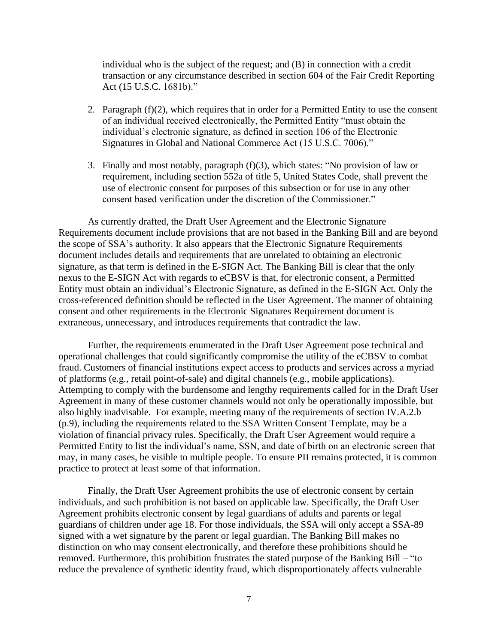individual who is the subject of the request; and (B) in connection with a credit transaction or any circumstance described in section 604 of the Fair Credit Reporting Act (15 U.S.C. 1681b)."

- 2. Paragraph  $(f)(2)$ , which requires that in order for a Permitted Entity to use the consent of an individual received electronically, the Permitted Entity "must obtain the individual's electronic signature, as defined in section 106 of the Electronic Signatures in Global and National Commerce Act (15 U.S.C. 7006)."
- 3. Finally and most notably, paragraph (f)(3), which states: "No provision of law or requirement, including section 552a of title 5, United States Code, shall prevent the use of electronic consent for purposes of this subsection or for use in any other consent based verification under the discretion of the Commissioner."

As currently drafted, the Draft User Agreement and the Electronic Signature Requirements document include provisions that are not based in the Banking Bill and are beyond the scope of SSA's authority. It also appears that the Electronic Signature Requirements document includes details and requirements that are unrelated to obtaining an electronic signature, as that term is defined in the E-SIGN Act. The Banking Bill is clear that the only nexus to the E-SIGN Act with regards to eCBSV is that, for electronic consent, a Permitted Entity must obtain an individual's Electronic Signature, as defined in the E-SIGN Act. Only the cross-referenced definition should be reflected in the User Agreement. The manner of obtaining consent and other requirements in the Electronic Signatures Requirement document is extraneous, unnecessary, and introduces requirements that contradict the law.

Further, the requirements enumerated in the Draft User Agreement pose technical and operational challenges that could significantly compromise the utility of the eCBSV to combat fraud. Customers of financial institutions expect access to products and services across a myriad of platforms (e.g., retail point-of-sale) and digital channels (e.g., mobile applications). Attempting to comply with the burdensome and lengthy requirements called for in the Draft User Agreement in many of these customer channels would not only be operationally impossible, but also highly inadvisable. For example, meeting many of the requirements of section IV.A.2.b (p.9), including the requirements related to the SSA Written Consent Template, may be a violation of financial privacy rules. Specifically, the Draft User Agreement would require a Permitted Entity to list the individual's name, SSN, and date of birth on an electronic screen that may, in many cases, be visible to multiple people. To ensure PII remains protected, it is common practice to protect at least some of that information.

Finally, the Draft User Agreement prohibits the use of electronic consent by certain individuals, and such prohibition is not based on applicable law. Specifically, the Draft User Agreement prohibits electronic consent by legal guardians of adults and parents or legal guardians of children under age 18. For those individuals, the SSA will only accept a SSA-89 signed with a wet signature by the parent or legal guardian. The Banking Bill makes no distinction on who may consent electronically, and therefore these prohibitions should be removed. Furthermore, this prohibition frustrates the stated purpose of the Banking Bill – "to reduce the prevalence of synthetic identity fraud, which disproportionately affects vulnerable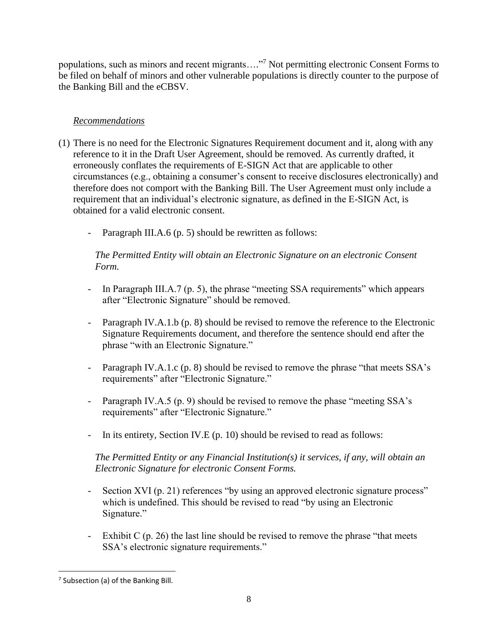populations, such as minors and recent migrants...."<sup>7</sup> Not permitting electronic Consent Forms to be filed on behalf of minors and other vulnerable populations is directly counter to the purpose of the Banking Bill and the eCBSV.

# *Recommendations*

- (1) There is no need for the Electronic Signatures Requirement document and it, along with any reference to it in the Draft User Agreement, should be removed. As currently drafted, it erroneously conflates the requirements of E-SIGN Act that are applicable to other circumstances (e.g., obtaining a consumer's consent to receive disclosures electronically) and therefore does not comport with the Banking Bill. The User Agreement must only include a requirement that an individual's electronic signature, as defined in the E-SIGN Act, is obtained for a valid electronic consent.
	- Paragraph III.A.6 (p. 5) should be rewritten as follows:

*The Permitted Entity will obtain an Electronic Signature on an electronic Consent Form.*

- In Paragraph III.A.7 (p. 5), the phrase "meeting SSA requirements" which appears after "Electronic Signature" should be removed.
- Paragraph IV.A.1.b (p. 8) should be revised to remove the reference to the Electronic Signature Requirements document, and therefore the sentence should end after the phrase "with an Electronic Signature."
- Paragraph IV.A.1.c (p. 8) should be revised to remove the phrase "that meets SSA's requirements" after "Electronic Signature."
- Paragraph IV.A.5 (p. 9) should be revised to remove the phase "meeting SSA's requirements" after "Electronic Signature."
- In its entirety, Section IV.E (p. 10) should be revised to read as follows:

*The Permitted Entity or any Financial Institution(s) it services, if any, will obtain an Electronic Signature for electronic Consent Forms.*

- Section XVI (p. 21) references "by using an approved electronic signature process" which is undefined. This should be revised to read "by using an Electronic Signature."
- Exhibit C (p. 26) the last line should be revised to remove the phrase "that meets SSA's electronic signature requirements."

<sup>&</sup>lt;sup>7</sup> Subsection (a) of the Banking Bill.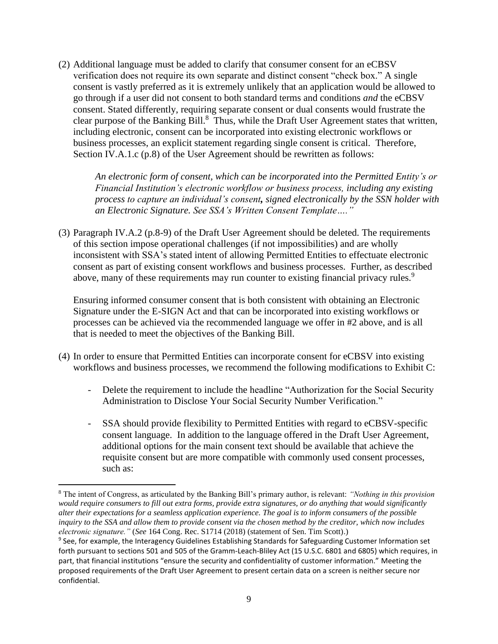(2) Additional language must be added to clarify that consumer consent for an eCBSV verification does not require its own separate and distinct consent "check box." A single consent is vastly preferred as it is extremely unlikely that an application would be allowed to go through if a user did not consent to both standard terms and conditions *and* the eCBSV consent. Stated differently, requiring separate consent or dual consents would frustrate the clear purpose of the Banking Bill.<sup>8</sup> Thus, while the Draft User Agreement states that written, including electronic, consent can be incorporated into existing electronic workflows or business processes, an explicit statement regarding single consent is critical. Therefore, Section IV.A.1.c (p.8) of the User Agreement should be rewritten as follows:

*An electronic form of consent, which can be incorporated into the Permitted Entity's or Financial Institution's electronic workflow or business process, including any existing process to capture an individual's consent, signed electronically by the SSN holder with an Electronic Signature. See SSA's Written Consent Template…."*

(3) Paragraph IV.A.2 (p.8-9) of the Draft User Agreement should be deleted. The requirements of this section impose operational challenges (if not impossibilities) and are wholly inconsistent with SSA's stated intent of allowing Permitted Entities to effectuate electronic consent as part of existing consent workflows and business processes. Further, as described above, many of these requirements may run counter to existing financial privacy rules.<sup>9</sup>

Ensuring informed consumer consent that is both consistent with obtaining an Electronic Signature under the E-SIGN Act and that can be incorporated into existing workflows or processes can be achieved via the recommended language we offer in #2 above, and is all that is needed to meet the objectives of the Banking Bill.

- (4) In order to ensure that Permitted Entities can incorporate consent for eCBSV into existing workflows and business processes, we recommend the following modifications to Exhibit C:
	- Delete the requirement to include the headline "Authorization for the Social Security Administration to Disclose Your Social Security Number Verification."
	- SSA should provide flexibility to Permitted Entities with regard to eCBSV-specific consent language. In addition to the language offered in the Draft User Agreement, additional options for the main consent text should be available that achieve the requisite consent but are more compatible with commonly used consent processes, such as:

<sup>8</sup> The intent of Congress, as articulated by the Banking Bill's primary author, is relevant: *"Nothing in this provision would require consumers to fill out extra forms, provide extra signatures, or do anything that would significantly alter their expectations for a seamless application experience. The goal is to inform consumers of the possible inquiry to the SSA and allow them to provide consent via the chosen method by the creditor, which now includes electronic signature."* (*See* 164 Cong. Rec. S1714 (2018) (statement of Sen. Tim Scott).)

<sup>&</sup>lt;sup>9</sup> See, for example, the Interagency Guidelines Establishing Standards for Safeguarding Customer Information set forth pursuant to sections 501 and 505 of the Gramm-Leach-Bliley Act (15 U.S.C. 6801 and 6805) which requires, in part, that financial institutions "ensure the security and confidentiality of customer information." Meeting the proposed requirements of the Draft User Agreement to present certain data on a screen is neither secure nor confidential.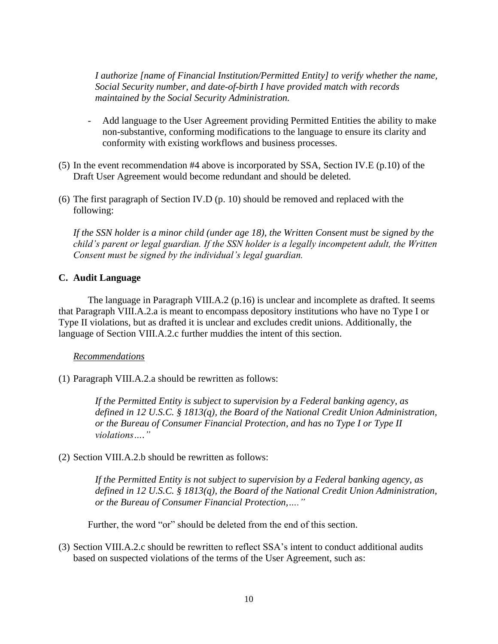*I authorize [name of Financial Institution/Permitted Entity] to verify whether the name, Social Security number, and date-of-birth I have provided match with records maintained by the Social Security Administration.*

- Add language to the User Agreement providing Permitted Entities the ability to make non-substantive, conforming modifications to the language to ensure its clarity and conformity with existing workflows and business processes.
- (5) In the event recommendation #4 above is incorporated by SSA, Section IV.E (p.10) of the Draft User Agreement would become redundant and should be deleted.
- (6) The first paragraph of Section IV.D (p. 10) should be removed and replaced with the following:

*If the SSN holder is a minor child (under age 18), the Written Consent must be signed by the child's parent or legal guardian. If the SSN holder is a legally incompetent adult, the Written Consent must be signed by the individual's legal guardian.* 

### **C. Audit Language**

The language in Paragraph VIII.A.2 (p.16) is unclear and incomplete as drafted. It seems that Paragraph VIII.A.2.a is meant to encompass depository institutions who have no Type I or Type II violations, but as drafted it is unclear and excludes credit unions. Additionally, the language of Section VIII.A.2.c further muddies the intent of this section.

### *Recommendations*

(1) Paragraph VIII.A.2.a should be rewritten as follows:

*If the Permitted Entity is subject to supervision by a Federal banking agency, as defined in 12 U.S.C. § 1813(q), the Board of the National Credit Union Administration, or the Bureau of Consumer Financial Protection, and has no Type I or Type II violations…."*

(2) Section VIII.A.2.b should be rewritten as follows:

*If the Permitted Entity is not subject to supervision by a Federal banking agency, as defined in 12 U.S.C. § 1813(q), the Board of the National Credit Union Administration, or the Bureau of Consumer Financial Protection,…."*

Further, the word "or" should be deleted from the end of this section.

(3) Section VIII.A.2.c should be rewritten to reflect SSA's intent to conduct additional audits based on suspected violations of the terms of the User Agreement, such as: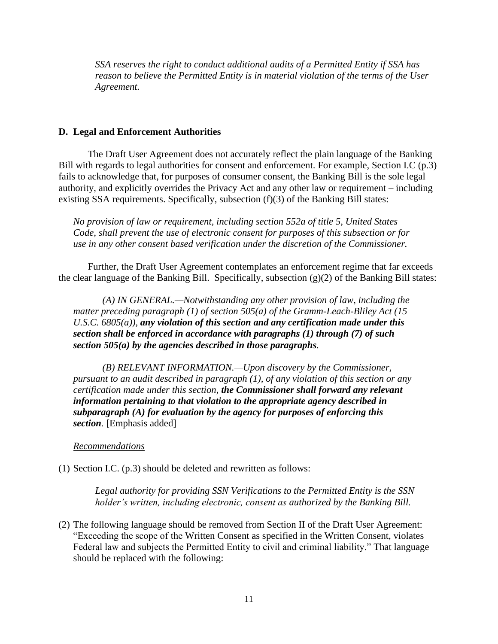*SSA reserves the right to conduct additional audits of a Permitted Entity if SSA has reason to believe the Permitted Entity is in material violation of the terms of the User Agreement.*

#### **D. Legal and Enforcement Authorities**

The Draft User Agreement does not accurately reflect the plain language of the Banking Bill with regards to legal authorities for consent and enforcement. For example, Section I.C (p.3) fails to acknowledge that, for purposes of consumer consent, the Banking Bill is the sole legal authority, and explicitly overrides the Privacy Act and any other law or requirement – including existing SSA requirements. Specifically, subsection (f)(3) of the Banking Bill states:

*No provision of law or requirement, including section 552a of title 5, United States Code, shall prevent the use of electronic consent for purposes of this subsection or for use in any other consent based verification under the discretion of the Commissioner.*

Further, the Draft User Agreement contemplates an enforcement regime that far exceeds the clear language of the Banking Bill. Specifically, subsection (g)(2) of the Banking Bill states:

*(A) IN GENERAL.—Notwithstanding any other provision of law, including the matter preceding paragraph (1) of section 505(a) of the Gramm-Leach-Bliley Act (15 U.S.C. 6805(a)), any violation of this section and any certification made under this section shall be enforced in accordance with paragraphs (1) through (7) of such section 505(a) by the agencies described in those paragraphs.*

*(B) RELEVANT INFORMATION.—Upon discovery by the Commissioner, pursuant to an audit described in paragraph (1), of any violation of this section or any certification made under this section, the Commissioner shall forward any relevant information pertaining to that violation to the appropriate agency described in subparagraph (A) for evaluation by the agency for purposes of enforcing this section.* [Emphasis added]

#### *Recommendations*

(1) Section I.C. (p.3) should be deleted and rewritten as follows:

*Legal authority for providing SSN Verifications to the Permitted Entity is the SSN holder's written, including electronic, consent as authorized by the Banking Bill.*

(2) The following language should be removed from Section II of the Draft User Agreement: "Exceeding the scope of the Written Consent as specified in the Written Consent, violates Federal law and subjects the Permitted Entity to civil and criminal liability." That language should be replaced with the following: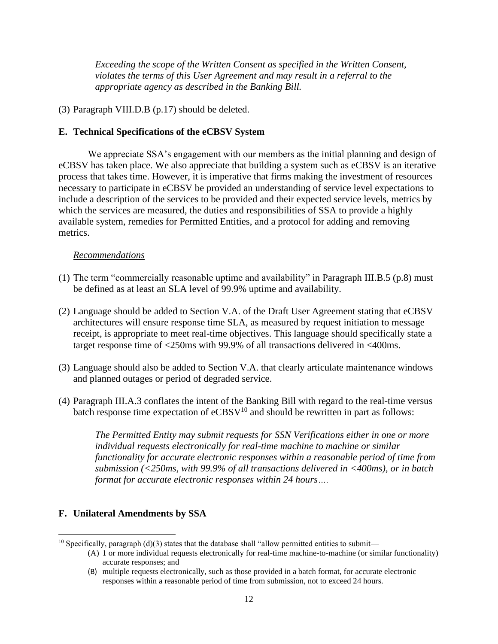*Exceeding the scope of the Written Consent as specified in the Written Consent, violates the terms of this User Agreement and may result in a referral to the appropriate agency as described in the Banking Bill.*

(3) Paragraph VIII.D.B (p.17) should be deleted.

## **E. Technical Specifications of the eCBSV System**

We appreciate SSA's engagement with our members as the initial planning and design of eCBSV has taken place. We also appreciate that building a system such as eCBSV is an iterative process that takes time. However, it is imperative that firms making the investment of resources necessary to participate in eCBSV be provided an understanding of service level expectations to include a description of the services to be provided and their expected service levels, metrics by which the services are measured, the duties and responsibilities of SSA to provide a highly available system, remedies for Permitted Entities, and a protocol for adding and removing metrics.

## *Recommendations*

- (1) The term "commercially reasonable uptime and availability" in Paragraph III.B.5 (p.8) must be defined as at least an SLA level of 99.9% uptime and availability.
- (2) Language should be added to Section V.A. of the Draft User Agreement stating that eCBSV architectures will ensure response time SLA, as measured by request initiation to message receipt, is appropriate to meet real-time objectives. This language should specifically state a target response time of <250ms with 99.9% of all transactions delivered in <400ms.
- (3) Language should also be added to Section V.A. that clearly articulate maintenance windows and planned outages or period of degraded service.
- (4) Paragraph III.A.3 conflates the intent of the Banking Bill with regard to the real-time versus batch response time expectation of  $eCBSV<sup>10</sup>$  and should be rewritten in part as follows:

*The Permitted Entity may submit requests for SSN Verifications either in one or more individual requests electronically for real-time machine to machine or similar functionality for accurate electronic responses within a reasonable period of time from submission (<250ms, with 99.9% of all transactions delivered in <400ms), or in batch format for accurate electronic responses within 24 hours….*

## **F. Unilateral Amendments by SSA**

 $10$  Specifically, paragraph (d)(3) states that the database shall "allow permitted entities to submit—

<sup>(</sup>A) 1 or more individual requests electronically for real-time machine-to-machine (or similar functionality) accurate responses; and

<sup>(</sup>B) multiple requests electronically, such as those provided in a batch format, for accurate electronic responses within a reasonable period of time from submission, not to exceed 24 hours.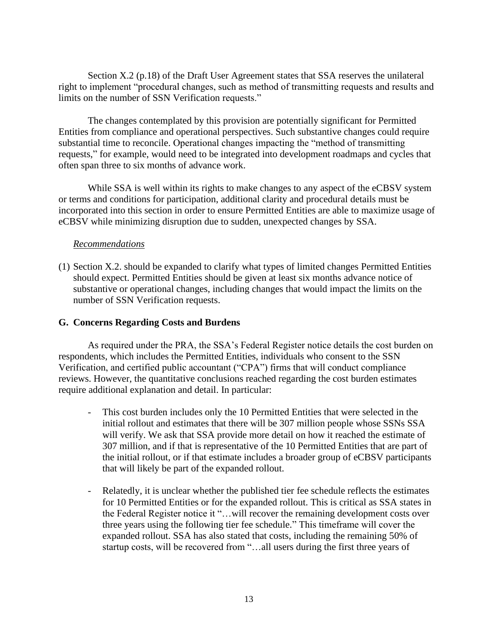Section X.2 (p.18) of the Draft User Agreement states that SSA reserves the unilateral right to implement "procedural changes, such as method of transmitting requests and results and limits on the number of SSN Verification requests."

The changes contemplated by this provision are potentially significant for Permitted Entities from compliance and operational perspectives. Such substantive changes could require substantial time to reconcile. Operational changes impacting the "method of transmitting requests," for example, would need to be integrated into development roadmaps and cycles that often span three to six months of advance work.

While SSA is well within its rights to make changes to any aspect of the eCBSV system or terms and conditions for participation, additional clarity and procedural details must be incorporated into this section in order to ensure Permitted Entities are able to maximize usage of eCBSV while minimizing disruption due to sudden, unexpected changes by SSA.

## *Recommendations*

(1) Section X.2. should be expanded to clarify what types of limited changes Permitted Entities should expect. Permitted Entities should be given at least six months advance notice of substantive or operational changes, including changes that would impact the limits on the number of SSN Verification requests.

### **G. Concerns Regarding Costs and Burdens**

As required under the PRA, the SSA's Federal Register notice details the cost burden on respondents, which includes the Permitted Entities, individuals who consent to the SSN Verification, and certified public accountant ("CPA") firms that will conduct compliance reviews. However, the quantitative conclusions reached regarding the cost burden estimates require additional explanation and detail. In particular:

- This cost burden includes only the 10 Permitted Entities that were selected in the initial rollout and estimates that there will be 307 million people whose SSNs SSA will verify. We ask that SSA provide more detail on how it reached the estimate of 307 million, and if that is representative of the 10 Permitted Entities that are part of the initial rollout, or if that estimate includes a broader group of eCBSV participants that will likely be part of the expanded rollout.
- Relatedly, it is unclear whether the published tier fee schedule reflects the estimates for 10 Permitted Entities or for the expanded rollout. This is critical as SSA states in the Federal Register notice it "…will recover the remaining development costs over three years using the following tier fee schedule." This timeframe will cover the expanded rollout. SSA has also stated that costs, including the remaining 50% of startup costs, will be recovered from "…all users during the first three years of